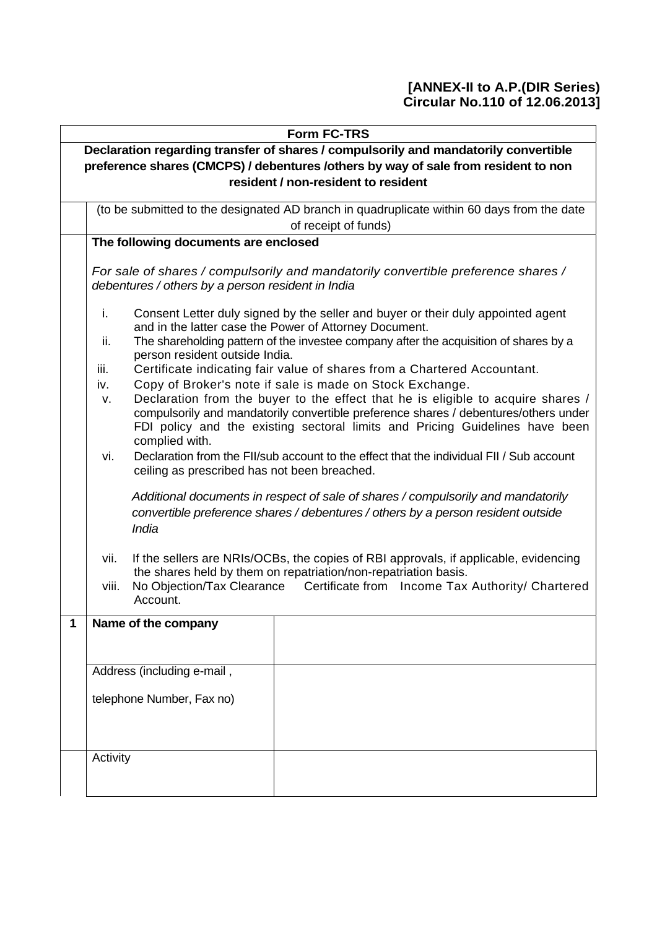#### **[ANNEX-II to A.P.(DIR Series) Circular No.110 of 12.06.2013]**

|   | <b>Form FC-TRS</b>                                                                                                                                                                                                                                                     |                                                                                                                                                                                                                                                                                                                                                                                                                                                                                                                                                                                                                                                                                                                                     |  |  |  |  |  |  |  |  |  |  |
|---|------------------------------------------------------------------------------------------------------------------------------------------------------------------------------------------------------------------------------------------------------------------------|-------------------------------------------------------------------------------------------------------------------------------------------------------------------------------------------------------------------------------------------------------------------------------------------------------------------------------------------------------------------------------------------------------------------------------------------------------------------------------------------------------------------------------------------------------------------------------------------------------------------------------------------------------------------------------------------------------------------------------------|--|--|--|--|--|--|--|--|--|--|
|   | Declaration regarding transfer of shares / compulsorily and mandatorily convertible                                                                                                                                                                                    |                                                                                                                                                                                                                                                                                                                                                                                                                                                                                                                                                                                                                                                                                                                                     |  |  |  |  |  |  |  |  |  |  |
|   | preference shares (CMCPS) / debentures /others by way of sale from resident to non                                                                                                                                                                                     |                                                                                                                                                                                                                                                                                                                                                                                                                                                                                                                                                                                                                                                                                                                                     |  |  |  |  |  |  |  |  |  |  |
|   | resident / non-resident to resident                                                                                                                                                                                                                                    |                                                                                                                                                                                                                                                                                                                                                                                                                                                                                                                                                                                                                                                                                                                                     |  |  |  |  |  |  |  |  |  |  |
|   | (to be submitted to the designated AD branch in quadruplicate within 60 days from the date<br>of receipt of funds)                                                                                                                                                     |                                                                                                                                                                                                                                                                                                                                                                                                                                                                                                                                                                                                                                                                                                                                     |  |  |  |  |  |  |  |  |  |  |
|   | The following documents are enclosed                                                                                                                                                                                                                                   |                                                                                                                                                                                                                                                                                                                                                                                                                                                                                                                                                                                                                                                                                                                                     |  |  |  |  |  |  |  |  |  |  |
|   | debentures / others by a person resident in India                                                                                                                                                                                                                      | For sale of shares / compulsorily and mandatorily convertible preference shares /                                                                                                                                                                                                                                                                                                                                                                                                                                                                                                                                                                                                                                                   |  |  |  |  |  |  |  |  |  |  |
|   | i.<br>ii.<br>person resident outside India.<br>iii.<br>iv.<br>v.<br>complied with.<br>vi.<br>ceiling as prescribed has not been breached.                                                                                                                              | Consent Letter duly signed by the seller and buyer or their duly appointed agent<br>and in the latter case the Power of Attorney Document.<br>The shareholding pattern of the investee company after the acquisition of shares by a<br>Certificate indicating fair value of shares from a Chartered Accountant.<br>Copy of Broker's note if sale is made on Stock Exchange.<br>Declaration from the buyer to the effect that he is eligible to acquire shares /<br>compulsorily and mandatorily convertible preference shares / debentures/others under<br>FDI policy and the existing sectoral limits and Pricing Guidelines have been<br>Declaration from the FII/sub account to the effect that the individual FII / Sub account |  |  |  |  |  |  |  |  |  |  |
|   | India                                                                                                                                                                                                                                                                  | Additional documents in respect of sale of shares / compulsorily and mandatorily<br>convertible preference shares / debentures / others by a person resident outside                                                                                                                                                                                                                                                                                                                                                                                                                                                                                                                                                                |  |  |  |  |  |  |  |  |  |  |
|   | If the sellers are NRIs/OCBs, the copies of RBI approvals, if applicable, evidencing<br>vii.<br>the shares held by them on repatriation/non-repatriation basis.<br>No Objection/Tax Clearance<br>Certificate from Income Tax Authority/ Chartered<br>viii.<br>Account. |                                                                                                                                                                                                                                                                                                                                                                                                                                                                                                                                                                                                                                                                                                                                     |  |  |  |  |  |  |  |  |  |  |
| 1 | Name of the company                                                                                                                                                                                                                                                    |                                                                                                                                                                                                                                                                                                                                                                                                                                                                                                                                                                                                                                                                                                                                     |  |  |  |  |  |  |  |  |  |  |
|   |                                                                                                                                                                                                                                                                        |                                                                                                                                                                                                                                                                                                                                                                                                                                                                                                                                                                                                                                                                                                                                     |  |  |  |  |  |  |  |  |  |  |
|   |                                                                                                                                                                                                                                                                        |                                                                                                                                                                                                                                                                                                                                                                                                                                                                                                                                                                                                                                                                                                                                     |  |  |  |  |  |  |  |  |  |  |
|   | Address (including e-mail,                                                                                                                                                                                                                                             |                                                                                                                                                                                                                                                                                                                                                                                                                                                                                                                                                                                                                                                                                                                                     |  |  |  |  |  |  |  |  |  |  |
|   | telephone Number, Fax no)                                                                                                                                                                                                                                              |                                                                                                                                                                                                                                                                                                                                                                                                                                                                                                                                                                                                                                                                                                                                     |  |  |  |  |  |  |  |  |  |  |
|   | Activity                                                                                                                                                                                                                                                               |                                                                                                                                                                                                                                                                                                                                                                                                                                                                                                                                                                                                                                                                                                                                     |  |  |  |  |  |  |  |  |  |  |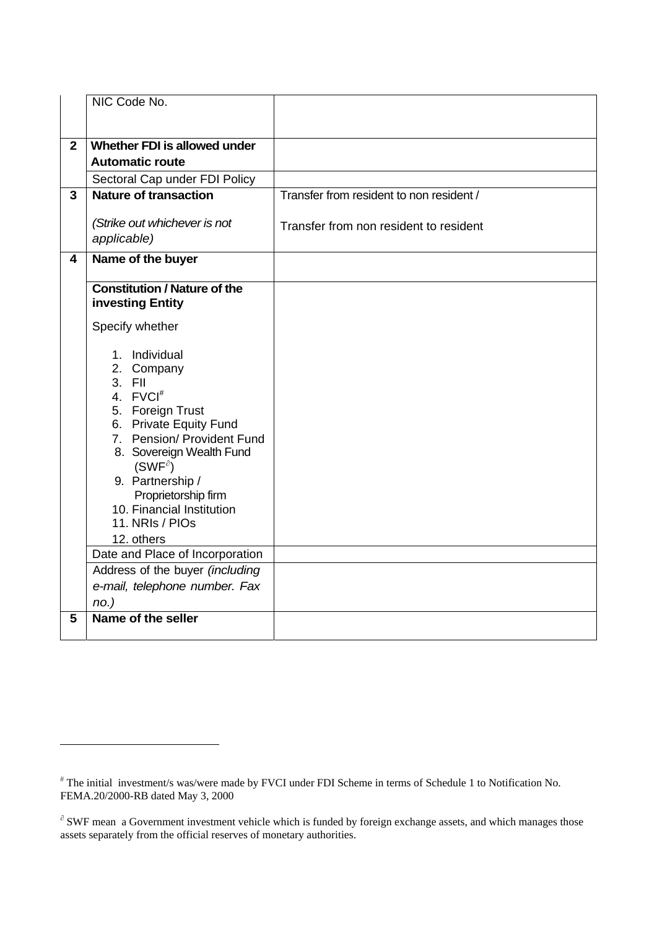|                         | NIC Code No.                                                                                                                                                                                                                                                                           |                                          |
|-------------------------|----------------------------------------------------------------------------------------------------------------------------------------------------------------------------------------------------------------------------------------------------------------------------------------|------------------------------------------|
| $\overline{2}$          | Whether FDI is allowed under                                                                                                                                                                                                                                                           |                                          |
|                         | <b>Automatic route</b>                                                                                                                                                                                                                                                                 |                                          |
|                         | Sectoral Cap under FDI Policy                                                                                                                                                                                                                                                          |                                          |
| $\overline{3}$          | <b>Nature of transaction</b>                                                                                                                                                                                                                                                           | Transfer from resident to non resident / |
|                         | (Strike out whichever is not<br>applicable)                                                                                                                                                                                                                                            | Transfer from non resident to resident   |
| $\overline{\mathbf{4}}$ | Name of the buyer                                                                                                                                                                                                                                                                      |                                          |
|                         | <b>Constitution / Nature of the</b><br>investing Entity                                                                                                                                                                                                                                |                                          |
|                         | Specify whether                                                                                                                                                                                                                                                                        |                                          |
|                         | 1. Individual<br>2. Company<br>3. FII<br>4. FVCI <sup>#</sup><br>5. Foreign Trust<br>6. Private Equity Fund<br>7. Pension/ Provident Fund<br>8. Sovereign Wealth Fund<br>$(SWF^{\partial})$<br>9. Partnership /<br>Proprietorship firm<br>10. Financial Institution<br>11. NRIs / PIOs |                                          |
|                         | 12. others                                                                                                                                                                                                                                                                             |                                          |
|                         | Date and Place of Incorporation                                                                                                                                                                                                                                                        |                                          |
|                         | Address of the buyer (including<br>e-mail, telephone number. Fax                                                                                                                                                                                                                       |                                          |
|                         | $no.$ )                                                                                                                                                                                                                                                                                |                                          |
| 5                       | Name of the seller                                                                                                                                                                                                                                                                     |                                          |

<u>.</u>

<span id="page-1-0"></span><sup>#</sup> The initial investment/s was/were made by FVCI under FDI Scheme in terms of Schedule 1 to Notification No. FEMA.20/2000-RB dated May 3, 2000

 $\partial$  SWF mean a Government investment vehicle which is funded by foreign exchange assets, and which manages those assets separately from the official reserves of monetary authorities.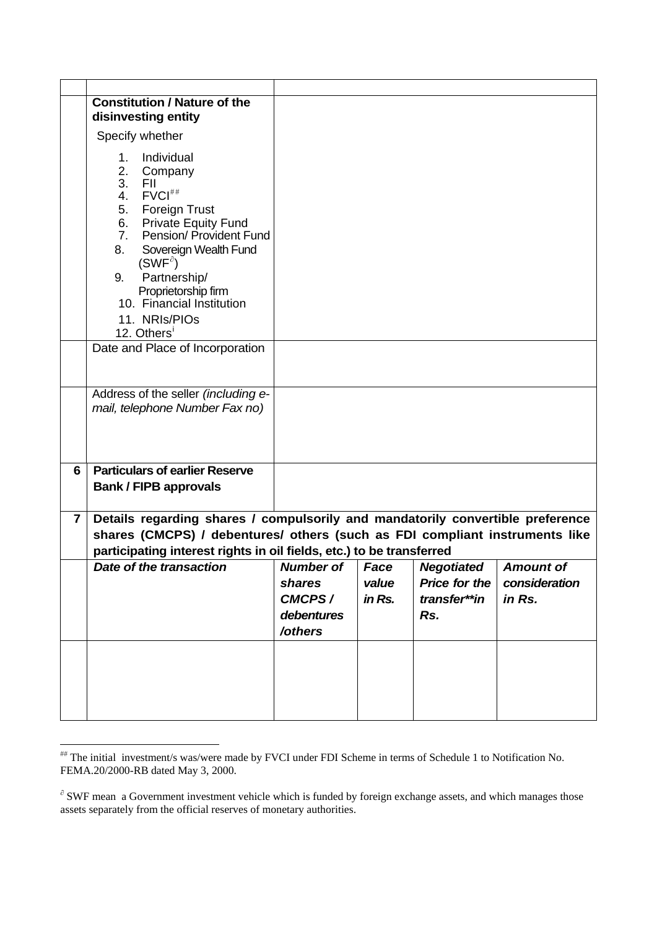|                         | <b>Constitution / Nature of the</b>                                                                                                                                                                                                                                                                                                                                                                     |                  |        |                   |                  |
|-------------------------|---------------------------------------------------------------------------------------------------------------------------------------------------------------------------------------------------------------------------------------------------------------------------------------------------------------------------------------------------------------------------------------------------------|------------------|--------|-------------------|------------------|
|                         | disinvesting entity                                                                                                                                                                                                                                                                                                                                                                                     |                  |        |                   |                  |
|                         | Specify whether                                                                                                                                                                                                                                                                                                                                                                                         |                  |        |                   |                  |
|                         | Individual<br>1.<br>2.<br>Company<br>3.<br><b>FII</b><br>FVCl <sup>##</sup><br>4.<br>5.<br>Foreign Trust<br>6.<br><b>Private Equity Fund</b><br>7 <sub>1</sub><br>Pension/ Provident Fund<br>8.<br>Sovereign Wealth Fund<br>$(SWF^{\partial})$<br>Partnership/<br>9.<br>Proprietorship firm<br>10. Financial Institution<br>11. NRIs/PIOs<br>12. Others <sup>1</sup><br>Date and Place of Incorporation |                  |        |                   |                  |
|                         |                                                                                                                                                                                                                                                                                                                                                                                                         |                  |        |                   |                  |
|                         | Address of the seller (including e-<br>mail, telephone Number Fax no)                                                                                                                                                                                                                                                                                                                                   |                  |        |                   |                  |
| 6                       | <b>Particulars of earlier Reserve</b><br><b>Bank / FIPB approvals</b>                                                                                                                                                                                                                                                                                                                                   |                  |        |                   |                  |
| $\overline{\mathbf{z}}$ | Details regarding shares / compulsorily and mandatorily convertible preference                                                                                                                                                                                                                                                                                                                          |                  |        |                   |                  |
|                         | shares (CMCPS) / debentures/ others (such as FDI compliant instruments like                                                                                                                                                                                                                                                                                                                             |                  |        |                   |                  |
|                         | participating interest rights in oil fields, etc.) to be transferred                                                                                                                                                                                                                                                                                                                                    |                  |        |                   |                  |
|                         | Date of the transaction                                                                                                                                                                                                                                                                                                                                                                                 | <b>Number of</b> | Face   | <b>Negotiated</b> | <b>Amount of</b> |
|                         |                                                                                                                                                                                                                                                                                                                                                                                                         | shares           | value  | Price for the     | consideration    |
|                         |                                                                                                                                                                                                                                                                                                                                                                                                         | CMCPS/           | in Rs. | transfer**in      | in Rs.           |
|                         |                                                                                                                                                                                                                                                                                                                                                                                                         | debentures       |        | Rs.               |                  |
|                         |                                                                                                                                                                                                                                                                                                                                                                                                         | /others          |        |                   |                  |
|                         |                                                                                                                                                                                                                                                                                                                                                                                                         |                  |        |                   |                  |

<u>.</u>

<span id="page-2-0"></span><sup>##</sup> The initial investment/s was/were made by FVCI under FDI Scheme in terms of Schedule 1 to Notification No. FEMA.20/2000-RB dated May 3, 2000.

<span id="page-2-2"></span><span id="page-2-1"></span><sup>∂</sup> SWF mean a Government investment vehicle which is funded by foreign exchange assets, and which manages those assets separately from the official reserves of monetary authorities.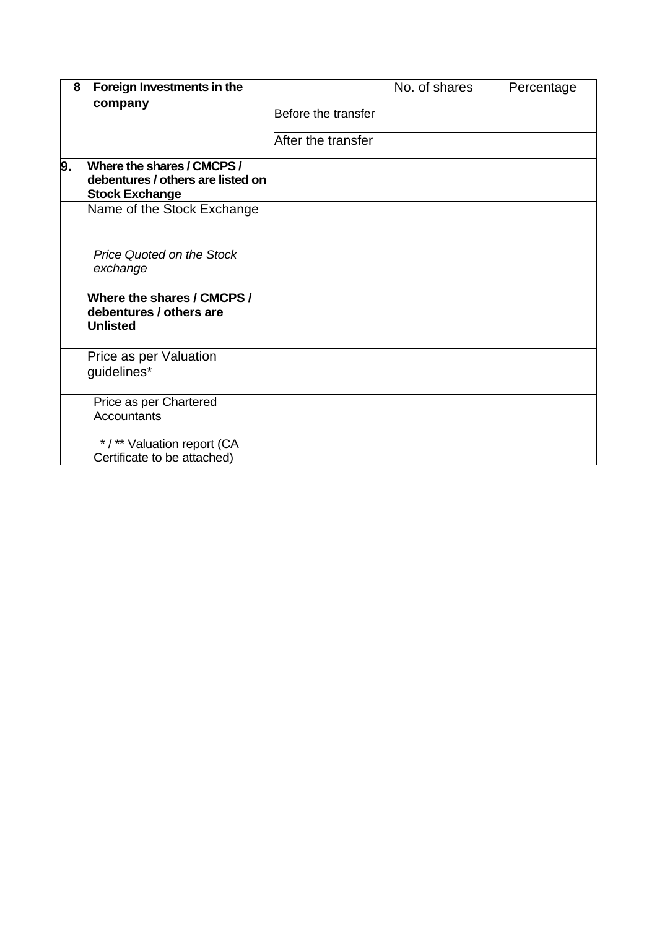| 8  | Foreign Investments in the                                                               |                     | No. of shares | Percentage |
|----|------------------------------------------------------------------------------------------|---------------------|---------------|------------|
|    | company                                                                                  | Before the transfer |               |            |
|    |                                                                                          | After the transfer  |               |            |
| 9. | Where the shares / CMCPS /<br>debentures / others are listed on<br><b>Stock Exchange</b> |                     |               |            |
|    | Name of the Stock Exchange                                                               |                     |               |            |
|    | Price Quoted on the Stock<br>exchange                                                    |                     |               |            |
|    | Where the shares / CMCPS /<br>debentures / others are<br><b>Unlisted</b>                 |                     |               |            |
|    | Price as per Valuation<br>guidelines*                                                    |                     |               |            |
|    | Price as per Chartered<br><b>Accountants</b><br>*/** Valuation report (CA                |                     |               |            |
|    | Certificate to be attached)                                                              |                     |               |            |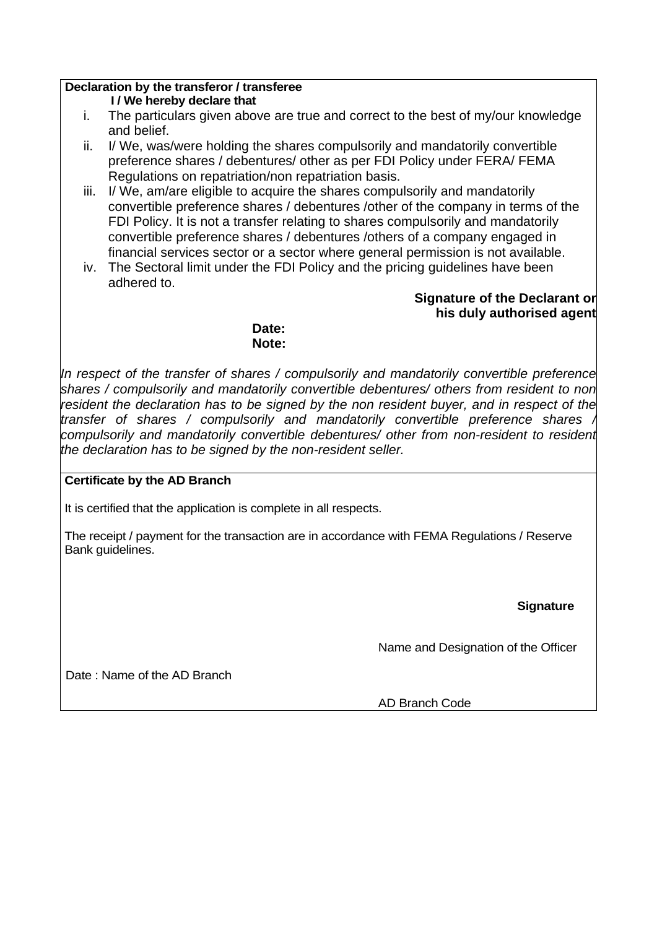## **Declaration by the transferor / transferee**

**I / We hereby declare that** 

- i. The particulars given above are true and correct to the best of my/our knowledge and belief.
- ii. I/ We, was/were holding the shares compulsorily and mandatorily convertible preference shares / debentures/ other as per FDI Policy under FERA/ FEMA Regulations on repatriation/non repatriation basis.
- iii. I/ We, am/are eligible to acquire the shares compulsorily and mandatorily convertible preference shares / debentures /other of the company in terms of the FDI Policy. It is not a transfer relating to shares compulsorily and mandatorily convertible preference shares / debentures /others of a company engaged in financial services sector or a sector where general permission is not available.
- iv. The Sectoral limit under the FDI Policy and the pricing guidelines have been adhered to.

## **Signature of the Declarant or his duly authorised agent**

**Date: Note:**

*In respect of the transfer of shares / compulsorily and mandatorily convertible preference shares / compulsorily and mandatorily convertible debentures/ others from resident to non resident the declaration has to be signed by the non resident buyer, and in respect of the transfer of shares / compulsorily and mandatorily convertible preference shares / compulsorily and mandatorily convertible debentures/ other from non-resident to resident the declaration has to be signed by the non-resident seller.* 

## **Certificate by the AD Branch**

It is certified that the application is complete in all respects.

The receipt / payment for the transaction are in accordance with FEMA Regulations / Reserve Bank guidelines.

**Signature** 

Name and Designation of the Officer

Date : Name of the AD Branch

AD Branch Code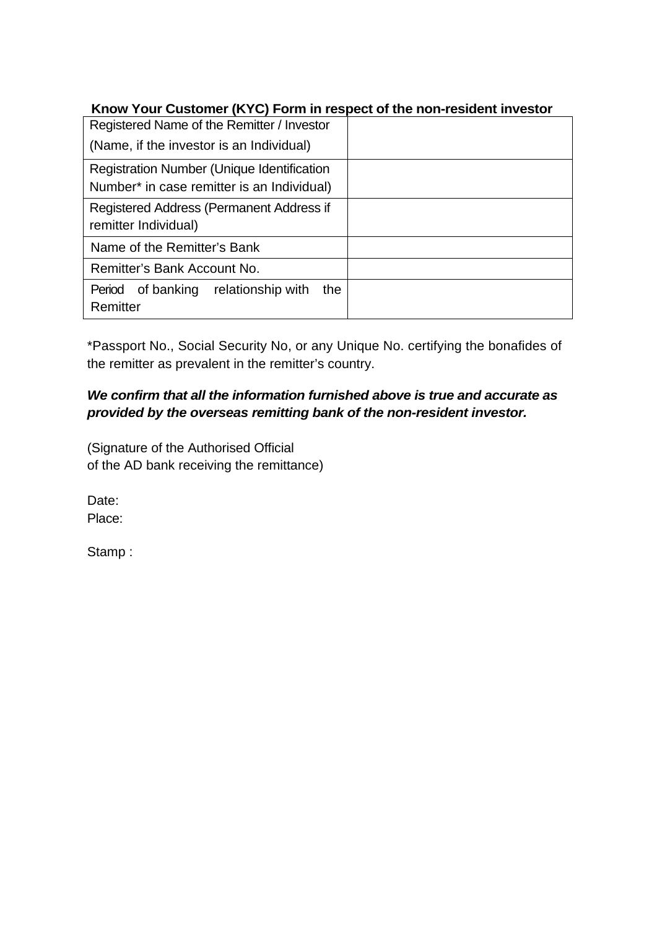# **Know Your Customer (KYC) Form in respect of the non-resident investor**

| Registered Name of the Remitter / Investor |  |  |  |  |  |  |  |  |
|--------------------------------------------|--|--|--|--|--|--|--|--|
| (Name, if the investor is an Individual)   |  |  |  |  |  |  |  |  |
| Registration Number (Unique Identification |  |  |  |  |  |  |  |  |
| Number* in case remitter is an Individual) |  |  |  |  |  |  |  |  |
| Registered Address (Permanent Address if   |  |  |  |  |  |  |  |  |
| remitter Individual)                       |  |  |  |  |  |  |  |  |
| Name of the Remitter's Bank                |  |  |  |  |  |  |  |  |
| Remitter's Bank Account No.                |  |  |  |  |  |  |  |  |
| Period of banking relationship with<br>the |  |  |  |  |  |  |  |  |
| Remitter                                   |  |  |  |  |  |  |  |  |

\*Passport No., Social Security No, or any Unique No. certifying the bonafides of the remitter as prevalent in the remitter's country.

# *We confirm that all the information furnished above is true and accurate as provided by the overseas remitting bank of the non-resident investor.*

(Signature of the Authorised Official of the AD bank receiving the remittance)

Date: Place:

Stamp :